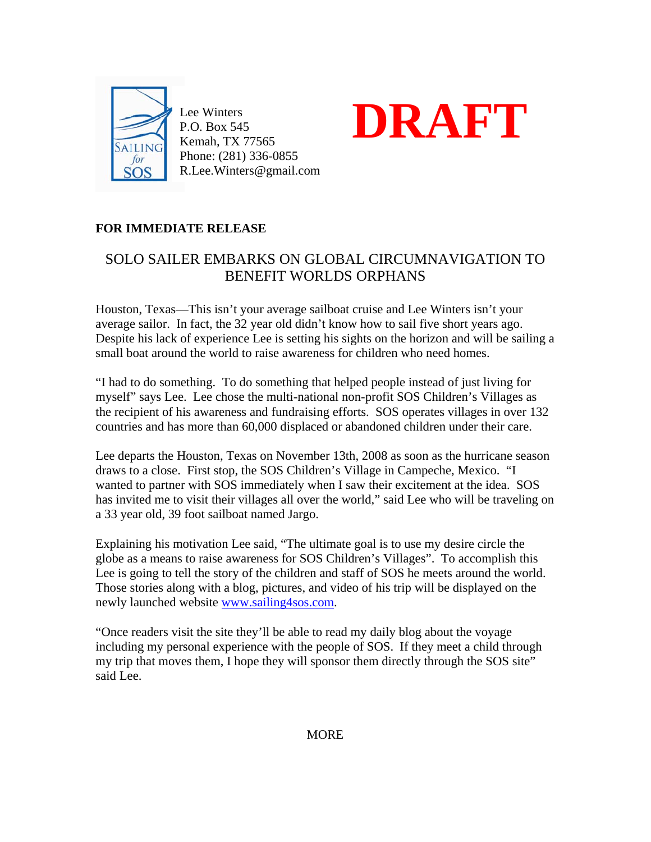

Lee Winters P.O. Box 545 Kemah, TX 77565 Phone: (281) 336-0855 R.Lee.Winters@gmail.com



## **FOR IMMEDIATE RELEASE**

## SOLO SAILER EMBARKS ON GLOBAL CIRCUMNAVIGATION TO BENEFIT WORLDS ORPHANS

Houston, Texas—This isn't your average sailboat cruise and Lee Winters isn't your average sailor. In fact, the 32 year old didn't know how to sail five short years ago. Despite his lack of experience Lee is setting his sights on the horizon and will be sailing a small boat around the world to raise awareness for children who need homes.

"I had to do something. To do something that helped people instead of just living for myself" says Lee. Lee chose the multi-national non-profit SOS Children's Villages as the recipient of his awareness and fundraising efforts. SOS operates villages in over 132 countries and has more than 60,000 displaced or abandoned children under their care.

Lee departs the Houston, Texas on November 13th, 2008 as soon as the hurricane season draws to a close. First stop, the SOS Children's Village in Campeche, Mexico. "I wanted to partner with SOS immediately when I saw their excitement at the idea. SOS has invited me to visit their villages all over the world," said Lee who will be traveling on a 33 year old, 39 foot sailboat named Jargo.

Explaining his motivation Lee said, "The ultimate goal is to use my desire circle the globe as a means to raise awareness for SOS Children's Villages". To accomplish this Lee is going to tell the story of the children and staff of SOS he meets around the world. Those stories along with a blog, pictures, and video of his trip will be displayed on the newly launched website www.sailing4sos.com.

"Once readers visit the site they'll be able to read my daily blog about the voyage including my personal experience with the people of SOS. If they meet a child through my trip that moves them, I hope they will sponsor them directly through the SOS site" said Lee.

**MORE**